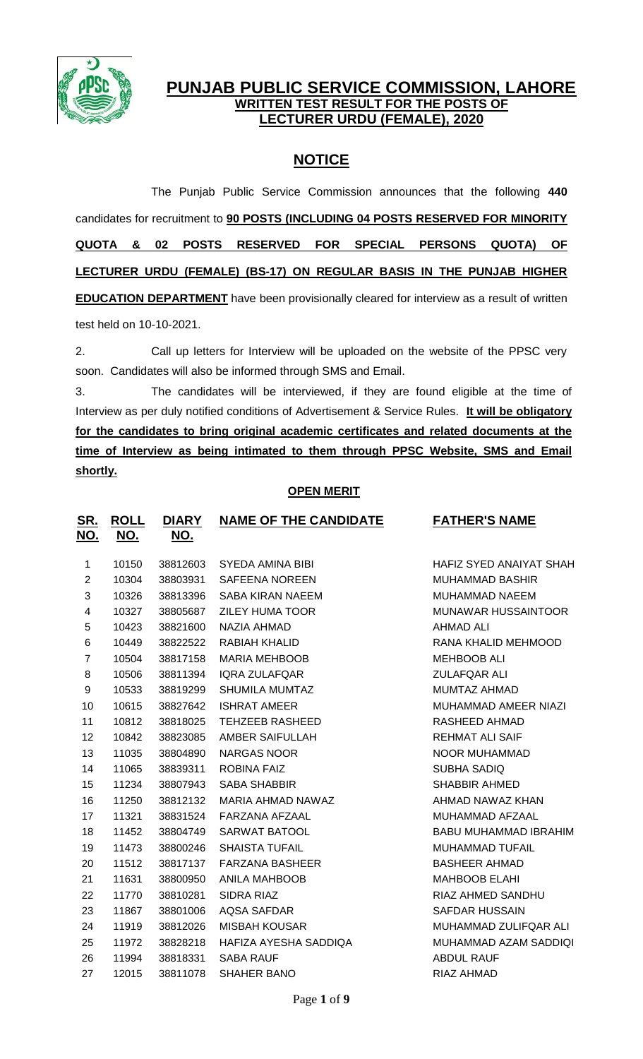

# **PUNJAB PUBLIC SERVICE COMMISSION, LAHORE WRITTEN TEST RESULT FOR THE POSTS OF LECTURER URDU (FEMALE), 2020**

# **NOTICE**

The Punjab Public Service Commission announces that the following **440** candidates for recruitment to **90 POSTS (INCLUDING 04 POSTS RESERVED FOR MINORITY QUOTA & 02 POSTS RESERVED FOR SPECIAL PERSONS QUOTA) OF LECTURER URDU (FEMALE) (BS-17) ON REGULAR BASIS IN THE PUNJAB HIGHER EDUCATION DEPARTMENT** have been provisionally cleared for interview as a result of written test held on 10-10-2021.

2. Call up letters for Interview will be uploaded on the website of the PPSC very soon. Candidates will also be informed through SMS and Email.

3. The candidates will be interviewed, if they are found eligible at the time of Interview as per duly notified conditions of Advertisement & Service Rules. **It will be obligatory for the candidates to bring original academic certificates and related documents at the time of Interview as being intimated to them through PPSC Website, SMS and Email shortly.**

## **OPEN MERIT**

| <u>SR.</u><br><u>NO.</u> | <b>ROLL</b><br><u>NO.</u> | <b>DIARY</b><br><u>NO.</u> | <b>NAME OF THE CANDIDATE</b> | <b>FATHER'S NAME</b>         |
|--------------------------|---------------------------|----------------------------|------------------------------|------------------------------|
| 1                        | 10150                     | 38812603                   | SYEDA AMINA BIBI             | HAFIZ SYED ANAIYAT SHAH      |
| $\overline{2}$           | 10304                     | 38803931                   | <b>SAFEENA NOREEN</b>        | <b>MUHAMMAD BASHIR</b>       |
| 3                        | 10326                     | 38813396                   | <b>SABA KIRAN NAEEM</b>      | <b>MUHAMMAD NAEEM</b>        |
| 4                        | 10327                     | 38805687                   | <b>ZILEY HUMA TOOR</b>       | MUNAWAR HUSSAINTOOR          |
| 5                        | 10423                     | 38821600                   | NAZIA AHMAD                  | <b>AHMAD ALI</b>             |
| 6                        | 10449                     | 38822522                   | RABIAH KHALID                | RANA KHALID MEHMOOD          |
| $\overline{7}$           | 10504                     | 38817158                   | <b>MARIA MEHBOOB</b>         | <b>MEHBOOB ALI</b>           |
| 8                        | 10506                     | 38811394                   | <b>IQRA ZULAFQAR</b>         | <b>ZULAFQAR ALI</b>          |
| 9                        | 10533                     | 38819299                   | <b>SHUMILA MUMTAZ</b>        | <b>MUMTAZ AHMAD</b>          |
| 10                       | 10615                     | 38827642                   | <b>ISHRAT AMEER</b>          | MUHAMMAD AMEER NIAZI         |
| 11                       | 10812                     | 38818025                   | <b>TEHZEEB RASHEED</b>       | RASHEED AHMAD                |
| 12                       | 10842                     | 38823085                   | AMBER SAIFULLAH              | <b>REHMAT ALI SAIF</b>       |
| 13                       | 11035                     | 38804890                   | <b>NARGAS NOOR</b>           | NOOR MUHAMMAD                |
| 14                       | 11065                     | 38839311                   | <b>ROBINA FAIZ</b>           | <b>SUBHA SADIQ</b>           |
| 15                       | 11234                     | 38807943                   | <b>SABA SHABBIR</b>          | <b>SHABBIR AHMED</b>         |
| 16                       | 11250                     | 38812132                   | MARIA AHMAD NAWAZ            | AHMAD NAWAZ KHAN             |
| 17                       | 11321                     | 38831524                   | FARZANA AFZAAL               | MUHAMMAD AFZAAL              |
| 18                       | 11452                     | 38804749                   | <b>SARWAT BATOOL</b>         | <b>BABU MUHAMMAD IBRAHIM</b> |
| 19                       | 11473                     | 38800246                   | <b>SHAISTA TUFAIL</b>        | <b>MUHAMMAD TUFAIL</b>       |
| 20                       | 11512                     | 38817137                   | <b>FARZANA BASHEER</b>       | <b>BASHEER AHMAD</b>         |
| 21                       | 11631                     | 38800950                   | ANILA MAHBOOB                | <b>MAHBOOB ELAHI</b>         |
| 22                       | 11770                     | 38810281                   | <b>SIDRA RIAZ</b>            | RIAZ AHMED SANDHU            |
| 23                       | 11867                     | 38801006                   | <b>AQSA SAFDAR</b>           | <b>SAFDAR HUSSAIN</b>        |
| 24                       | 11919                     | 38812026                   | <b>MISBAH KOUSAR</b>         | MUHAMMAD ZULIFQAR ALI        |
| 25                       | 11972                     | 38828218                   | HAFIZA AYESHA SADDIQA        | MUHAMMAD AZAM SADDIQI        |
| 26                       | 11994                     | 38818331                   | <b>SABA RAUF</b>             | <b>ABDUL RAUF</b>            |
| 27                       | 12015                     | 38811078                   | <b>SHAHER BANO</b>           | RIAZ AHMAD                   |
|                          |                           |                            |                              |                              |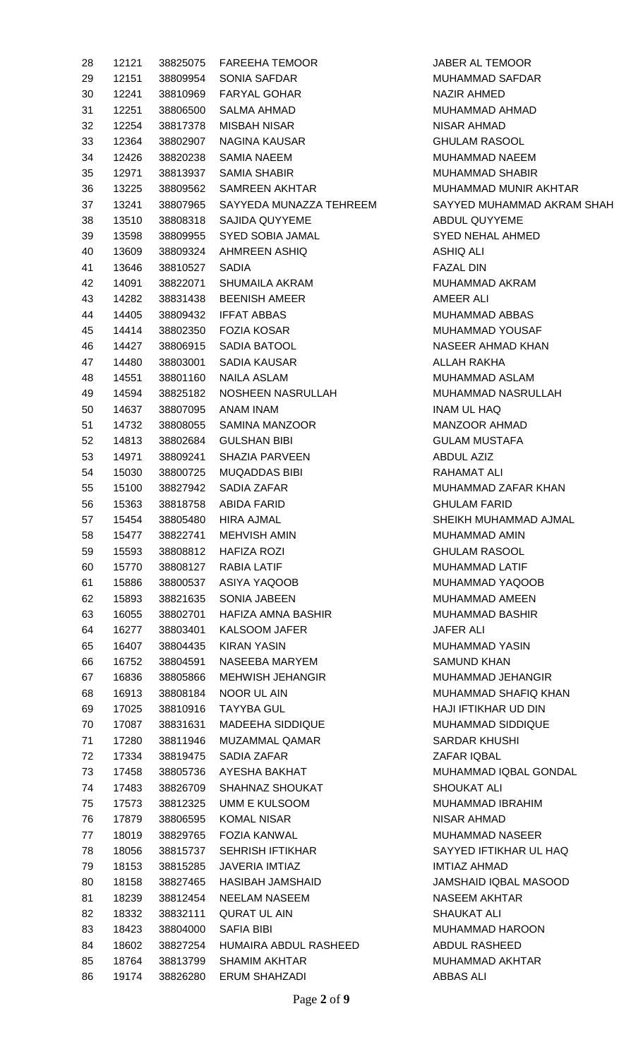| 28   | 12121 |                | 38825075 FAREEHA TEMOOR          |
|------|-------|----------------|----------------------------------|
| 29   | 12151 |                | 38809954 SONIA SAFDAR            |
| 30   | 12241 |                | 38810969 FARYAL GOHAR            |
| 31 — | 12251 |                | 38806500 SALMA AHMAD             |
| 32   | 12254 | 38817378       | MISBAH NISAR                     |
| 33   | 12364 |                | 38802907 NAGINA KAUSAR           |
| 34   | 12426 |                | 38820238 SAMIA NAEEM             |
| 35 — | 12971 |                | 38813937 SAMIA SHABIR            |
| 36   | 13225 |                | 38809562 SAMREEN AKHTAR          |
| 37   | 13241 |                | 38807965 SAYYEDA MUNAZZA TEHREEM |
| 38   | 13510 |                | 38808318 SAJIDA QUYYEME          |
| 39   | 13598 |                | 38809955 SYED SOBIA JAMAL        |
| 40   | 13609 |                | 38809324 AHMREEN ASHIQ           |
| 41   | 13646 | 38810527 SADIA |                                  |
| 42   | 14091 |                |                                  |
|      |       |                | 38822071 SHUMAILA AKRAM          |
| 43   | 14282 |                | 38831438 BEENISH AMEER           |
| 44   | 14405 |                | 38809432 IFFAT ABBAS             |
| 45   | 14414 |                | 38802350  FOZIA KOSAR            |
| 46   | 14427 |                | 38806915 SADIA BATOOL            |
| 47   | 14480 |                | 38803001 SADIA KAUSAR            |
| 48   | 14551 | 38801160       | NAILA ASLAM                      |
| 49 — | 14594 |                | 38825182 NOSHEEN NASRULLAH       |
| 50   | 14637 |                | 38807095 ANAM INAM               |
| 51 — | 14732 | 38808055       | <b>SAMINA MANZOOR</b>            |
| 52   | 14813 | 38802684       | <b>GULSHAN BIBI</b>              |
| 53   | 14971 | 38809241       | <b>SHAZIA PARVEEN</b>            |
| 54   | 15030 |                | 38800725 MUQADDAS BIBI           |
| 55 — | 15100 |                | 38827942 SADIA ZAFAR             |
| 56   | 15363 |                | 38818758 ABIDA FARID             |
| 57   | 15454 |                | 38805480 HIRA AJMAL              |
| 58   | 15477 | 38822741       | <b>MEHVISH AMIN</b>              |
| 59   | 15593 |                | 38808812 HAFIZA ROZI             |
| 60   | 15770 |                | 38808127 RABIA LATIF             |
| 61   | 15886 |                | 38800537 ASIYA YAQOOB            |
| 62   | 15893 | 38821635       | <b>SONIA JABEEN</b>              |
| 63   | 16055 | 38802701       | HAFIZA AMNA BASHIR               |
| 64   | 16277 | 38803401       | KALSOOM JAFER                    |
| 65   | 16407 | 38804435       | KIRAN YASIN                      |
| 66   | 16752 | 38804591       | NASEEBA MARYEM                   |
| 67   | 16836 | 38805866       | <b>MEHWISH JEHANGIR</b>          |
| 68   | 16913 | 38808184       | NOOR UL AIN                      |
| 69   | 17025 | 38810916       | <b>TAYYBA GUL</b>                |
| 70   | 17087 | 38831631       | <b>MADEEHA SIDDIQUE</b>          |
| 71   | 17280 | 38811946       | MUZAMMAL QAMAR                   |
| 72   | 17334 |                | 38819475 SADIA ZAFAR             |
| 73   | 17458 | 38805736       | AYESHA BAKHAT                    |
| 74   | 17483 | 38826709       | SHAHNAZ SHOUKAT                  |
| 75   | 17573 | 38812325       | UMM E KULSOOM                    |
| 76   | 17879 | 38806595       | KOMAL NISAR                      |
| 77   | 18019 | 38829765       | FOZIA KANWAL                     |
| 78   | 18056 | 38815737       | <b>SEHRISH IFTIKHAR</b>          |
| 79   | 18153 | 38815285       | <b>JAVERIA IMTIAZ</b>            |
| 80   | 18158 | 38827465       | HASIBAH JAMSHAID                 |
| 81   | 18239 | 38812454       | <b>NEELAM NASEEM</b>             |
| 82   | 18332 | 38832111       | QURAT UL AIN                     |
| 83   | 18423 | 38804000       | <b>SAFIA BIBI</b>                |
| 84   | 18602 |                | 38827254 HUMAIRA ABDUL RASHEED   |
| 85   | 18764 | 38813799       | <b>SHAMIM AKHTAR</b>             |
| 86   |       |                | 19174 38826280 ERUM SHAHZADI     |

JABER AL TEMOOR MUHAMMAD SAFDAR **NAZIR AHMED** MUHAMMAD AHMAD NISAR AHMAD **GHULAM RASOOL** MUHAMMAD NAEEM MUHAMMAD SHABIR MUHAMMAD MUNIR AKHTAR SAYYED MUHAMMAD AKRAM SHAH ABDUL QUYYEME SYED NEHAL AHMED **ASHIQ ALI** FAZAL DIN MUHAMMAD AKRAM AMEER ALI MUHAMMAD ABBAS MUHAMMAD YOUSAF NASEER AHMAD KHAN AI I AH RAKHA MUHAMMAD ASLAM MUHAMMAD NASRULLAH INAM UL HAQ MANZOOR AHMAD **GULAM MUSTAFA** ABDUL AZIZ RAHAMAT ALI MUHAMMAD ZAFAR KHAN **GHULAM FARID** SHEIKH MUHAMMAD AJMAL MUHAMMAD AMIN **GHULAM RASOOL** MUHAMMAD LATIF MUHAMMAD YAQOOB MUHAMMAD AMEEN MUHAMMAD BASHIR **JAFER ALI** MUHAMMAD YASIN SAMUND KHAN MUHAMMAD JEHANGIR MUHAMMAD SHAFIQ KHAN HAJI IFTIKHAR UD DIN MUHAMMAD SIDDIQUE SARDAR KHUSHI ZAFAR IQBAL MUHAMMAD IQBAL GONDAL SHOUKAT ALI MUHAMMAD IBRAHIM NISAR AHMAD MUHAMMAD NASEER SAYYED IFTIKHAR UL HAQ **IMTIAZ AHMAD** JAMSHAID IQBAL MASOOD **NASEEM AKHTAR** SHAUKAT ALI MUHAMMAD HAROON ABDUL RASHEED MUHAMMAD AKHTAR ABBAS ALI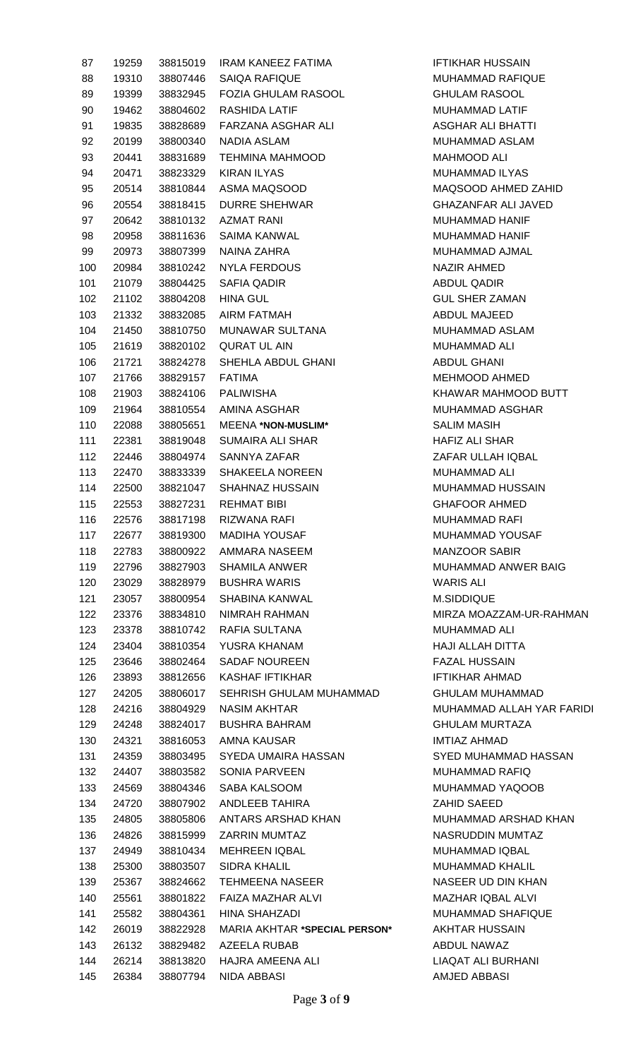| 87  | 19259 | 38815019             | IRAM KANEEZ FATIMA                 |
|-----|-------|----------------------|------------------------------------|
| 88  | 19310 | 38807446             | <b>SAIQA RAFIQUE</b>               |
| 89  | 19399 | 38832945             | <b>FOZIA GHULAM RASOOL</b>         |
| 90  | 19462 | 38804602             | RASHIDA LATIF                      |
| 91  | 19835 | 38828689             | FARZANA ASGHAR ALI                 |
| 92  | 20199 | 38800340             | NADIA ASLAM                        |
| 93  | 20441 | 38831689             | <b>TEHMINA MAHMOOD</b>             |
| 94  | 20471 | 38823329             | KIRAN ILYAS                        |
| 95  | 20514 | 38810844             | ASMA MAQSOOD                       |
| 96  | 20554 | 38818415             | <b>DURRE SHEHWAR</b>               |
| 97  |       |                      | 20642 38810132 AZMAT RANI          |
| 98  | 20958 | 38811636             | SAIMA KANWAL                       |
| 99  | 20973 | 38807399             | NAINA ZAHRA                        |
| 100 | 20984 | 38810242             | NYLA FERDOUS                       |
| 101 | 21079 | 38804425             | SAFIA QADIR                        |
| 102 | 21102 | 38804208             | HINA GUL                           |
| 103 | 21332 | 38832085             | AIRM FATMAH                        |
| 104 | 21450 | 38810750             | MUNAWAR SULTANA                    |
|     |       |                      | QURAT UL AIN                       |
| 105 | 21619 | 38820102<br>38824278 | SHEHLA ABDUL GHANI                 |
| 106 | 21721 |                      |                                    |
| 107 | 21766 | 38829157             | <b>FATIMA</b>                      |
| 108 | 21903 |                      | 38824106 PALIWISHA                 |
| 109 | 21964 |                      | 38810554 AMINA ASGHAR              |
| 110 | 22088 | 38805651             | <b>MEENA *NON-MUSLIM*</b>          |
| 111 | 22381 | 38819048             | SUMAIRA ALI SHAR                   |
| 112 | 22446 | 38804974             | SANNYA ZAFAR                       |
| 113 | 22470 | 38833339             | <b>SHAKEELA NOREEN</b>             |
| 114 | 22500 | 38821047             | <b>SHAHNAZ HUSSAIN</b>             |
| 115 | 22553 | 38827231             | <b>REHMAT BIBI</b>                 |
| 116 | 22576 | 38817198             | RIZWANA RAFI                       |
| 117 | 22677 | 38819300             | <b>MADIHA YOUSAF</b>               |
| 118 | 22783 | 38800922             | AMMARA NASEEM                      |
| 119 | 22796 | 38827903             | <b>SHAMILA ANWER</b>               |
| 120 | 23029 | 38828979             | <b>BUSHRA WARIS</b>                |
| 121 | 23057 | 38800954             | SHABINA KANWAL                     |
| 122 | 23376 | 38834810             | NIMRAH RAHMAN                      |
| 123 | 23378 | 38810742             | RAFIA SULTANA                      |
| 124 | 23404 | 38810354             | YUSRA KHANAM                       |
| 125 | 23646 | 38802464             | <b>SADAF NOUREEN</b>               |
| 126 | 23893 | 38812656             | KASHAF IFTIKHAR                    |
| 127 | 24205 | 38806017             | SEHRISH GHULAM MUHAMMAD            |
| 128 | 24216 | 38804929             | NASIM AKHTAR                       |
| 129 | 24248 | 38824017             | <b>BUSHRA BAHRAM</b>               |
| 130 | 24321 | 38816053             | AMNA KAUSAR                        |
| 131 | 24359 | 38803495             | SYEDA UMAIRA HASSAN                |
| 132 | 24407 | 38803582             | SONIA PARVEEN                      |
| 133 | 24569 | 38804346             | SABA KALSOOM                       |
| 134 | 24720 | 38807902             | ANDLEEB TAHIRA                     |
| 135 | 24805 | 38805806             | ANTARS ARSHAD KHAN                 |
| 136 | 24826 | 38815999             | <b>ZARRIN MUMTAZ</b>               |
| 137 | 24949 | 38810434             | <b>MEHREEN IQBAL</b>               |
| 138 | 25300 | 38803507             | SIDRA KHALIL                       |
| 139 | 25367 | 38824662             | <b>TEHMEENA NASEER</b>             |
| 140 | 25561 | 38801822             | FAIZA MAZHAR ALVI                  |
| 141 | 25582 | 38804361             | HINA SHAHZADI                      |
| 142 | 26019 | 38822928             | <b>MARIA AKHTAR *SPECIAL PERSO</b> |
| 143 | 26132 | 38829482             | AZEELA RUBAB                       |
| 144 | 26214 | 38813820             | HAJRA AMEENA ALI                   |
| 145 | 26384 | 38807794             | NIDA ABBASI                        |

**IFTIKHAR HUSSAIN** MUHAMMAD RAFIQUE **GHULAM RASOOL** MUHAMMAD LATIF ASGHAR ALI BHATTI MUHAMMAD ASLAM MAHMOOD ALI MUHAMMAD ILYAS MAQSOOD AHMED ZAHID GHAZANFAR ALI JAVED MUHAMMAD HANIF MUHAMMAD HANIF MUHAMMAD AJMAL NAZIR AHMED ABDUL QADIR **GUL SHER ZAMAN** ABDUL MAJEED MUHAMMAD ASLAM MUHAMMAD ALI ABDUL GHANI MEHMOOD AHMED KHAWAR MAHMOOD BUTT MUHAMMAD ASGHAR SALIM MASIH HAFIZ ALI SHAR **ZAFAR ULLAH IQBAL** MUHAMMAD ALI MUHAMMAD HUSSAIN GHAFOOR AHMED MUHAMMAD RAFI MUHAMMAD YOUSAF **MANZOOR SABIR** MUHAMMAD ANWER BAIG **WARIS ALI** M.SIDDIQUE MIRZA MOAZZAM-UR-RAHMAN MUHAMMAD ALI HAJI ALLAH DITTA **FAZAL HUSSAIN** IFTIKHAR AHMAD 127 24205 38806017 SEHRISH GHULAM MUHAMMAD GHULAM MUHAMMAD MUHAMMAD ALLAH YAR FARIDI GHULAM MURTAZA IMTIAZ AHMAD SYED MUHAMMAD HASSAN MUHAMMAD RAFIQ MUHAMMAD YAQOOB ZAHID SAEED MUHAMMAD ARSHAD KHAN NASRUDDIN MUMTAZ MUHAMMAD IQBAL MUHAMMAD KHALIL NASEER UD DIN KHAN MAZHAR IQBAL ALVI MUHAMMAD SHAFIQUE **ON\*** AKHTAR HUSSAIN ABDUL NAWAZ LIAQAT ALI BURHANI AMJED ABBASI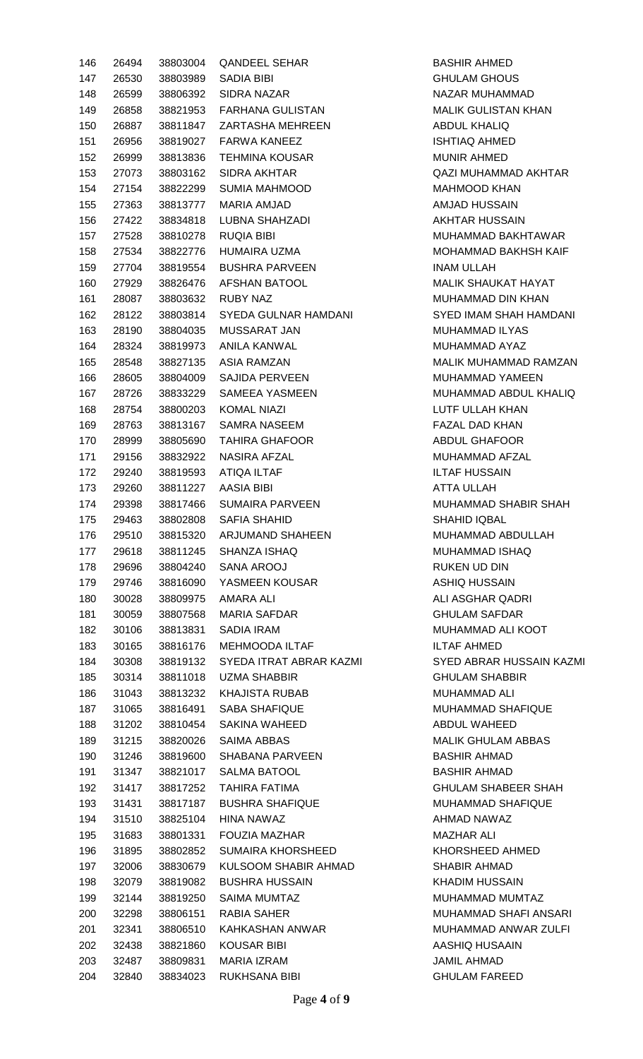| 146 | 26494 | 38803004 | <b>QANDEEL SEHAR</b>      |
|-----|-------|----------|---------------------------|
| 147 | 26530 | 38803989 | SADIA BIBI                |
| 148 | 26599 |          | 38806392 SIDRA NAZAR      |
| 149 | 26858 |          | 38821953 FARHANA GULISTAN |
| 150 | 26887 |          | 38811847 ZARTASHA MEHREEN |
| 151 | 26956 |          | 38819027 FARWA KANEEZ     |
| 152 | 26999 | 38813836 | TEHMINA KOUSAR            |
| 153 | 27073 |          | 38803162 SIDRA AKHTAR     |
| 154 | 27154 | 38822299 | SUMIA MAHMOOD             |
| 155 | 27363 |          | 38813777 MARIA AMJAD      |
| 156 | 27422 | 38834818 | LUBNA SHAHZADI            |
| 157 | 27528 |          | 38810278 RUQIA BIBI       |
| 158 | 27534 | 38822776 | HUMAIRA UZMA              |
|     | 27704 |          | 38819554 BUSHRA PARVEEN   |
| 159 |       |          | 38826476 AFSHAN BATOOL    |
| 160 | 27929 |          |                           |
| 161 | 28087 |          | 38803632 RUBY NAZ         |
| 162 | 28122 | 38803814 | SYEDA GULNAR HAMDANI      |
| 163 | 28190 |          | 38804035 MUSSARAT JAN     |
| 164 | 28324 | 38819973 | ANILA KANWAL              |
| 165 | 28548 |          | 38827135 ASIA RAMZAN      |
| 166 | 28605 | 38804009 | SAJIDA PERVEEN            |
| 167 | 28726 | 38833229 | SAMEEA YASMEEN            |
| 168 | 28754 |          | 38800203 KOMAL NIAZI      |
| 169 | 28763 | 38813167 | SAMRA NASEEM              |
| 170 | 28999 | 38805690 | <b>TAHIRA GHAFOOR</b>     |
| 171 | 29156 |          | 38832922 NASIRA AFZAL     |
| 172 | 29240 | 38819593 | ATIQA ILTAF               |
| 173 | 29260 |          | 38811227 AASIA BIBI       |
| 174 | 29398 | 38817466 | <b>SUMAIRA PARVEEN</b>    |
| 175 | 29463 | 38802808 | SAFIA SHAHID              |
| 176 | 29510 | 38815320 | <b>ARJUMAND SHAHEEN</b>   |
| 177 | 29618 | 38811245 | SHANZA ISHAQ              |
| 178 | 29696 |          | 38804240 SANA AROOJ       |
| 179 | 29746 | 38816090 | YASMEEN KOUSAR            |
| 180 | 30028 | 38809975 | AMARA ALI                 |
| 181 | 30059 | 38807568 | <b>MARIA SAFDAR</b>       |
| 182 | 30106 | 38813831 | <b>SADIA IRAM</b>         |
| 183 | 30165 | 38816176 | <b>MEHMOODA ILTAF</b>     |
| 184 | 30308 | 38819132 | SYEDA ITRAT ABRAR KAZMI   |
| 185 | 30314 | 38811018 | UZMA SHABBIR              |
| 186 | 31043 | 38813232 | KHAJISTA RUBAB            |
| 187 | 31065 | 38816491 | <b>SABA SHAFIQUE</b>      |
| 188 | 31202 | 38810454 | SAKINA WAHEED             |
| 189 | 31215 | 38820026 | SAIMA ABBAS               |
| 190 | 31246 | 38819600 | SHABANA PARVEEN           |
| 191 | 31347 | 38821017 | <b>SALMA BATOOL</b>       |
| 192 | 31417 | 38817252 | TAHIRA FATIMA             |
| 193 | 31431 | 38817187 | <b>BUSHRA SHAFIQUE</b>    |
| 194 | 31510 | 38825104 | HINA NAWAZ                |
| 195 | 31683 | 38801331 | <b>FOUZIA MAZHAR</b>      |
| 196 | 31895 | 38802852 | <b>SUMAIRA KHORSHEED</b>  |
| 197 | 32006 | 38830679 | KULSOOM SHABIR AHMAD      |
| 198 | 32079 | 38819082 | <b>BUSHRA HUSSAIN</b>     |
| 199 | 32144 | 38819250 | <b>SAIMA MUMTAZ</b>       |
| 200 | 32298 | 38806151 | RABIA SAHER               |
| 201 | 32341 | 38806510 | KAHKASHAN ANWAR           |
| 202 | 32438 | 38821860 | <b>KOUSAR BIBI</b>        |
| 203 | 32487 | 38809831 | <b>MARIA IZRAM</b>        |
| 204 | 32840 | 38834023 | RUKHSANA BIBI             |

BASHIR AHMED **GHULAM GHOUS** NAZAR MUHAMMAD MALIK GULISTAN KHAN ABDUL KHALIQ **ISHTIAQ AHMED** MUNIR AHMED QAZI MUHAMMAD AKHTAR MAHMOOD KHAN AMJAD HUSSAIN **AKHTAR HUSSAIN** MUHAMMAD BAKHTAWAR MOHAMMAD BAKHSH KAIF INAM ULLAH MALIK SHAUKAT HAYAT MUHAMMAD DIN KHAN SYED IMAM SHAH HAMDANI MUHAMMAD ILYAS MUHAMMAD AYAZ MALIK MUHAMMAD RAMZAN MUHAMMAD YAMEEN MUHAMMAD ABDUL KHALIQ LUTF ULLAH KHAN FAZAL DAD KHAN ABDUL GHAFOOR MUHAMMAD AFZAL **ILTAF HUSSAIN ATTA ULLAH** MUHAMMAD SHABIR SHAH SHAHID IQBAL MUHAMMAD ABDULLAH MUHAMMAD ISHAQ RUKEN UD DIN ASHIQ HUSSAIN **ALI ASGHAR QADRI GHULAM SAFDAR** MUHAMMAD ALI KOOT **ILTAF AHMED SYED ABRAR HUSSAIN KAZMI GHULAM SHABBIR** MUHAMMAD ALI MUHAMMAD SHAFIQUE ABDUL WAHEED MALIK GHULAM ABBAS BASHIR AHMAD BASHIR AHMAD **GHULAM SHABEER SHAH** MUHAMMAD SHAFIQUE AHMAD NAWAZ **MAZHAR ALI** KHORSHEED AHMED SHABIR AHMAD KHADIM HUSSAIN MUHAMMAD MUMTAZ MUHAMMAD SHAFI ANSARI MUHAMMAD ANWAR ZULFI AASHIQ HUSAAIN JAMIL AHMAD **GHULAM FAREED**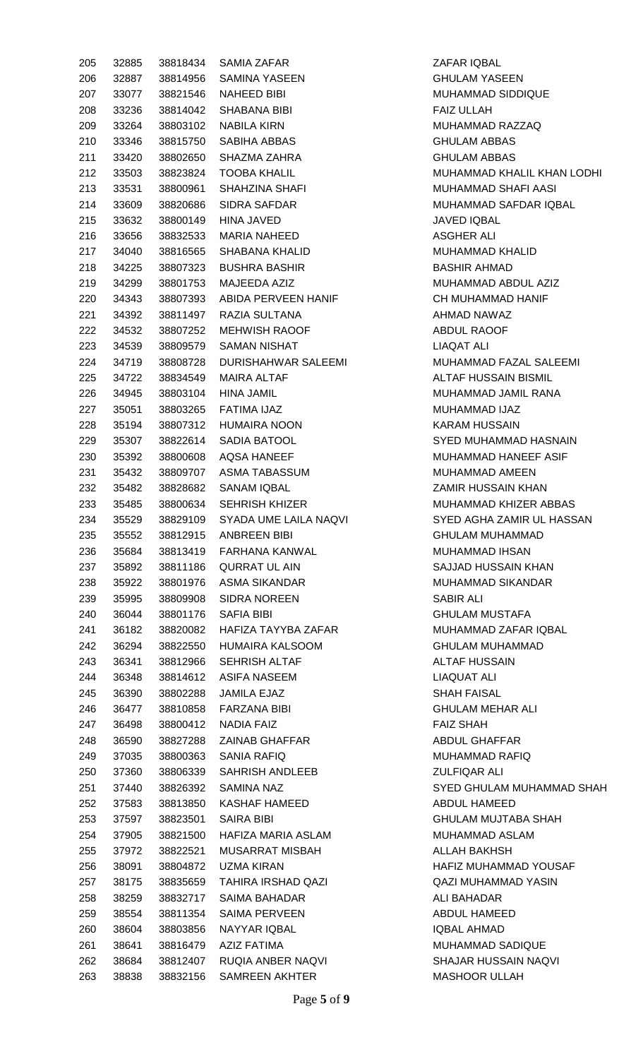| 205        | 32885          | 38818434             | <b>SAMIA ZAFAR</b>               | ZAFAR IQI                 |
|------------|----------------|----------------------|----------------------------------|---------------------------|
| 206        | 32887          | 38814956             | <b>SAMINA YASEEN</b>             | <b>GHULAM</b>             |
| 207        | 33077          | 38821546             | NAHEED BIBI                      | <b>MUHAMM</b>             |
| 208        | 33236          | 38814042             | <b>SHABANA BIBI</b>              | <b>FAIZ ULLA</b>          |
| 209        | 33264          | 38803102             | <b>NABILA KIRN</b>               | <b>MUHAMM</b>             |
| 210        | 33346          | 38815750             | SABIHA ABBAS                     | <b>GHULAM</b>             |
| 211        | 33420          | 38802650             | SHAZMA ZAHRA                     | <b>GHULAM</b>             |
| 212        | 33503          | 38823824             | <b>TOOBA KHALIL</b>              | <b>MUHAMM</b>             |
| 213        | 33531          | 38800961             | <b>SHAHZINA SHAFI</b>            | <b>MUHAMM</b>             |
| 214        | 33609          | 38820686             | <b>SIDRA SAFDAR</b>              | <b>MUHAMM</b>             |
| 215        | 33632          | 38800149             | <b>HINA JAVED</b>                | <b>JAVED IQI</b>          |
| 216        | 33656          | 38832533             | <b>MARIA NAHEED</b>              | ASGHER /                  |
| 217        | 34040          | 38816565             | SHABANA KHALID                   | <b>MUHAMM</b>             |
| 218        | 34225          | 38807323             | <b>BUSHRA BASHIR</b>             | <b>BASHIR A</b>           |
| 219        | 34299          | 38801753             | MAJEEDA AZIZ                     | <b>MUHAMM</b>             |
| 220        | 34343          | 38807393             | ABIDA PERVEEN HANIF              | <b>CH MUHA</b>            |
| 221        | 34392          | 38811497             | <b>RAZIA SULTANA</b>             | <b>AHMAD N</b>            |
| 222        | 34532          | 38807252             | <b>MEHWISH RAOOF</b>             | ABDUL RA                  |
| 223        | 34539          | 38809579             | <b>SAMAN NISHAT</b>              | <b>LIAQAT AI</b>          |
| 224        | 34719          | 38808728             | <b>DURISHAHWAR SALEEMI</b>       | <b>MUHAMM</b>             |
| 225        | 34722          | 38834549             | <b>MAIRA ALTAF</b>               | <b>ALTAF HU</b>           |
| 226        | 34945          | 38803104             | <b>HINA JAMIL</b>                | <b>MUHAMM</b>             |
| 227        | 35051          | 38803265             | FATIMA IJAZ                      | <b>MUHAMM</b>             |
| 228        | 35194          | 38807312             | <b>HUMAIRA NOON</b>              | <b>KARAM HI</b>           |
| 229        | 35307          | 38822614             | SADIA BATOOL                     | <b>SYED MUI</b>           |
| 230        | 35392          | 38800608             | <b>AQSA HANEEF</b>               | <b>MUHAMM</b>             |
| 231        | 35432          | 38809707             | ASMA TABASSUM                    | <b>MUHAMM</b>             |
| 232        | 35482          | 38828682             | <b>SANAM IQBAL</b>               | <b>ZAMIR HU</b>           |
| 233        | 35485          | 38800634             | <b>SEHRISH KHIZER</b>            | <b>MUHAMM</b>             |
| 234        | 35529          | 38829109             | SYADA UME LAILA NAQVI            | <b>SYED AGI</b>           |
| 235        | 35552          | 38812915             | <b>ANBREEN BIBI</b>              | <b>GHULAM I</b>           |
| 236        | 35684          | 38813419             | <b>FARHANA KANWAL</b>            | <b>MUHAMM</b>             |
| 237        | 35892          | 38811186             | <b>QURRAT UL AIN</b>             | <b>SAJJAD H</b>           |
| 238        | 35922          | 38801976             | <b>ASMA SIKANDAR</b>             | <b>MUHAMM</b>             |
| 239        | 35995          | 38809908             | <b>SIDRA NOREEN</b>              | <b>SABIR ALI</b>          |
| 240        | 36044          | 38801176             | <b>SAFIA BIBI</b>                | <b>GHULAM I</b>           |
| 241        | 36182          | 38820082             | HAFIZA TAYYBA ZAFAR              | <b>MUHAMM</b>             |
| 242        | 36294          | 38822550             | <b>HUMAIRA KALSOOM</b>           | <b>GHULAM I</b>           |
| 243        | 36341          | 38812966             | <b>SEHRISH ALTAF</b>             | <b>ALTAF HU</b>           |
| 244        | 36348          | 38814612             | <b>ASIFA NASEEM</b>              | LIAQUAT                   |
| 245        | 36390          | 38802288             | <b>JAMILA EJAZ</b>               | <b>SHAH FAI</b>           |
| 246        | 36477          | 38810858             | <b>FARZANA BIBI</b>              | <b>GHULAM</b>             |
| 247        | 36498          | 38800412             | <b>NADIA FAIZ</b>                | <b>FAIZ SHAI</b>          |
| 248        | 36590          | 38827288             | <b>ZAINAB GHAFFAR</b>            | <b>ABDUL GH</b>           |
| 249        | 37035          | 38800363             | <b>SANIA RAFIQ</b>               | <b>MUHAMM</b>             |
| 250        | 37360          | 38806339             | SAHRISH ANDLEEB                  | <b>ZULFIQAR</b>           |
| 251        | 37440          | 38826392             | <b>SAMINA NAZ</b>                | <b>SYED GHI</b>           |
| 252        | 37583          | 38813850             | <b>KASHAF HAMEED</b>             | <b>ABDUL HA</b>           |
| 253        | 37597          | 38823501             | <b>SAIRA BIBI</b>                | <b>GHULAM</b>             |
| 254        | 37905          | 38821500             | HAFIZA MARIA ASLAM               | <b>MUHAMM</b>             |
| 255        | 37972          | 38822521             | <b>MUSARRAT MISBAH</b>           | <b>ALLAH BA</b>           |
|            |                |                      | <b>UZMA KIRAN</b>                | <b>HAFIZ MU</b>           |
| 256<br>257 | 38091<br>38175 | 38804872<br>38835659 | <b>TAHIRA IRSHAD QAZI</b>        | <b>QAZI MUH</b>           |
|            |                | 38832717             | <b>SAIMA BAHADAR</b>             | <b>ALI BAHAI</b>          |
| 258<br>259 | 38259          | 38811354             | <b>SAIMA PERVEEN</b>             | <b>ABDUL HA</b>           |
|            | 38554          | 38803856             | NAYYAR IQBAL                     | <b>IQBAL AHI</b>          |
| 260        | 38604          | 38816479             |                                  |                           |
| 261        | 38641          |                      | AZIZ FATIMA<br>RUQIA ANBER NAQVI | <b>MUHAMM</b><br>SHAJAR H |
| 262        | 38684          | 38812407             |                                  | <b>MASHOOF</b>            |
| 263        | 38838          | 38832156             | <b>SAMREEN AKHTER</b>            |                           |

ZAFAR IQBAL **GHULAM YASEEN** MUHAMMAD SIDDIQUE FAIZ ULLAH MUHAMMAD RAZZAQ **GHULAM ABBAS GHULAM ABBAS** MUHAMMAD KHALIL KHAN LODHI MUHAMMAD SHAFI AASI MUHAMMAD SAFDAR IQBAL **JAVED IQBAL** ASGHER ALI MUHAMMAD KHALID BASHIR AHMAD MUHAMMAD ABDUL AZIZ CH MUHAMMAD HANIF AHMAD NAWAZ ABDUL RAOOF LIAQAT ALI MUHAMMAD FAZAL SALEEMI ALTAF HUSSAIN BISMIL MUHAMMAD JAMIL RANA MUHAMMAD IJAZ KARAM HUSSAIN SYED MUHAMMAD HASNAIN MUHAMMAD HANEEF ASIF MUHAMMAD AMEEN **ZAMIR HUSSAIN KHAN** MUHAMMAD KHIZER ABBAS **SYED AGHA ZAMIR UL HASSAN GHULAM MUHAMMAD** MUHAMMAD IHSAN SAJJAD HUSSAIN KHAN MUHAMMAD SIKANDAR **GHULAM MUSTAFA** MUHAMMAD ZAFAR IQBAL GHULAM MUHAMMAD **ALTAF HUSSAIN** LIAQUAT ALI **SHAH FAISAL GHULAM MEHAR ALI FAIZ SHAH** ABDUL GHAFFAR MUHAMMAD RAFIQ ZULFIQAR ALI SYED GHULAM MUHAMMAD SHAH ABDUL HAMEED GHULAM MUJTABA SHAH MUHAMMAD ASLAM ALLAH BAKHSH HAFIZ MUHAMMAD YOUSAF QAZI MUHAMMAD YASIN ALI BAHADAR ABDUL HAMEED IQBAL AHMAD MUHAMMAD SADIQUE SHAJAR HUSSAIN NAQVI MASHOOR ULLAH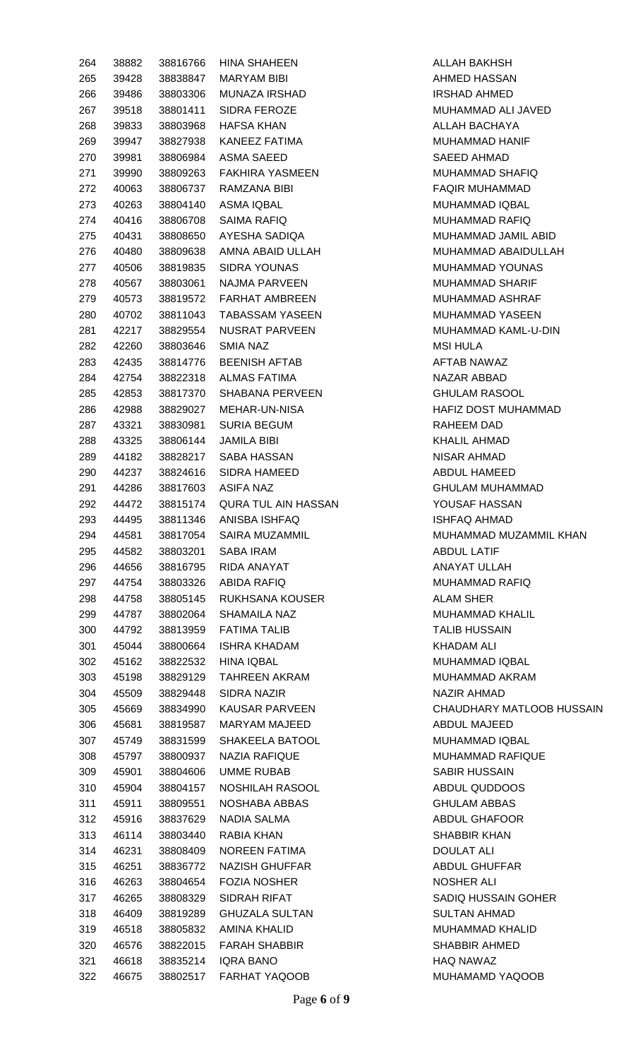| 264 | 38882 | 38816766 | <b>HINA SHAHEEN</b>   |
|-----|-------|----------|-----------------------|
| 265 | 39428 | 38838847 | MARYAM BIBI           |
| 266 | 39486 | 38803306 | MUNAZA IRSHAD         |
| 267 | 39518 | 38801411 | SIDRA FEROZE          |
| 268 | 39833 | 38803968 | HAFSA KHAN            |
| 269 | 39947 | 38827938 | KANEEZ FATIMA         |
| 270 | 39981 | 38806984 | ASMA SAEED            |
| 271 | 39990 | 38809263 | FAKHIRA YASMEEN       |
| 272 | 40063 | 38806737 | RAMZANA BIBI          |
| 273 | 40263 | 38804140 | ASMA IQBAL            |
| 274 | 40416 | 38806708 | SAIMA RAFIQ           |
|     |       |          | AYESHA SADIQA         |
| 275 | 40431 | 38808650 |                       |
| 276 | 40480 | 38809638 | AMNA ABAID ULLAH      |
| 277 | 40506 | 38819835 | SIDRA YOUNAS          |
| 278 | 40567 | 38803061 | NAJMA PARVEEN         |
| 279 | 40573 | 38819572 | <b>FARHAT AMBREEN</b> |
| 280 | 40702 | 38811043 | TABASSAM YASEEN       |
| 281 | 42217 | 38829554 | NUSRAT PARVEEN        |
| 282 | 42260 | 38803646 | <b>SMIA NAZ</b>       |
| 283 | 42435 | 38814776 | <b>BEENISH AFTAB</b>  |
| 284 | 42754 | 38822318 | ALMAS FATIMA          |
| 285 | 42853 | 38817370 | SHABANA PERVEEN       |
| 286 | 42988 | 38829027 | MEHAR-UN-NISA         |
| 287 | 43321 | 38830981 | <b>SURIA BEGUM</b>    |
| 288 | 43325 | 38806144 | JAMILA BIBI           |
| 289 | 44182 | 38828217 | SABA HASSAN           |
| 290 | 44237 | 38824616 | SIDRA HAMEED          |
| 291 | 44286 | 38817603 | <b>ASIFA NAZ</b>      |
| 292 | 44472 | 38815174 | QURA TUL AIN HASSAN   |
| 293 | 44495 | 38811346 | ANISBA ISHFAQ         |
| 294 | 44581 | 38817054 | <b>SAIRA MUZAMMIL</b> |
| 295 | 44582 | 38803201 | SABA IRAM             |
| 296 | 44656 | 38816795 | RIDA ANAYAT           |
| 297 | 44754 | 38803326 | ABIDA RAFIQ           |
| 298 | 44758 | 38805145 | RUKHSANA KOUSER       |
| 299 | 44787 | 38802064 | SHAMAILA NAZ          |
| 300 | 44792 | 38813959 | <b>FATIMA TALIB</b>   |
| 301 | 45044 | 38800664 | <b>ISHRA KHADAM</b>   |
| 302 | 45162 | 38822532 | <b>HINA IQBAL</b>     |
| 303 | 45198 | 38829129 | TAHREEN AKRAM         |
|     | 45509 | 38829448 |                       |
| 304 |       |          |                       |
| 305 |       |          | SIDRA NAZIR           |
| 306 | 45669 | 38834990 | KAUSAR PARVEEN        |
|     | 45681 | 38819587 | MARYAM MAJEED         |
| 307 | 45749 | 38831599 | SHAKEELA BATOOL       |
| 308 | 45797 | 38800937 | NAZIA RAFIQUE         |
| 309 | 45901 | 38804606 | UMME RUBAB            |
| 310 | 45904 | 38804157 | NOSHILAH RASOOL       |
| 311 | 45911 | 38809551 | NOSHABA ABBAS         |
| 312 | 45916 | 38837629 | NADIA SALMA           |
| 313 | 46114 | 38803440 | RABIA KHAN            |
| 314 | 46231 | 38808409 | NOREEN FATIMA         |
| 315 | 46251 | 38836772 | NAZISH GHUFFAR        |
| 316 | 46263 | 38804654 | <b>FOZIA NOSHER</b>   |
| 317 | 46265 | 38808329 | SIDRAH RIFAT          |
| 318 | 46409 | 38819289 | <b>GHUZALA SULTAN</b> |
| 319 | 46518 | 38805832 | AMINA KHALID          |
| 320 | 46576 | 38822015 | <b>FARAH SHABBIR</b>  |
| 321 | 46618 | 38835214 | <b>IQRA BANO</b>      |

ALLAH BAKHSH AHMED HASSAN IRSHAD AHMED MUHAMMAD ALI JAVED ALLAH BACHAYA MUHAMMAD HANIF SAEED AHMAD MUHAMMAD SHAFIQ FAQIR MUHAMMAD MUHAMMAD IQBAL MUHAMMAD RAFIQ MUHAMMAD JAMIL ABID MUHAMMAD ABAIDULLAH MUHAMMAD YOUNAS MUHAMMAD SHARIF MUHAMMAD ASHRAF MUHAMMAD YASEEN MUHAMMAD KAML-U-DIN **MSI HULA** AFTAB NAWAZ NAZAR ABBAD **GHULAM RASOOL** HAFIZ DOST MUHAMMAD RAHEEM DAD KHALIL AHMAD NISAR AHMAD ABDUL HAMEED GHULAM MUHAMMAD YOUSAF HASSAN **ISHFAQ AHMAD** MUHAMMAD MUZAMMIL KHAN ABDUL LATIF ANAYAT ULLAH MUHAMMAD RAFIQ ALAM SHER MUHAMMAD KHALIL **TALIB HUSSAIN** KHADAM ALI MUHAMMAD IQBAL MUHAMMAD AKRAM NAZIR AHMAD CHAUDHARY MATLOOB HUSSAIN ABDUL MAJEED MUHAMMAD IQBAL MUHAMMAD RAFIQUE SABIR HUSSAIN ABDUL QUDDOOS **GHULAM ABBAS** ABDUL GHAFOOR SHABBIR KHAN **DOULAT ALI** ABDUL GHUFFAR NOSHER ALI SADIQ HUSSAIN GOHER SULTAN AHMAD 319 46518 38805832 AMINA KHALID MUHAMMAD KHALID SHABBIR AHMED HAQ NAWAZ MUHAMAMD YAQOOB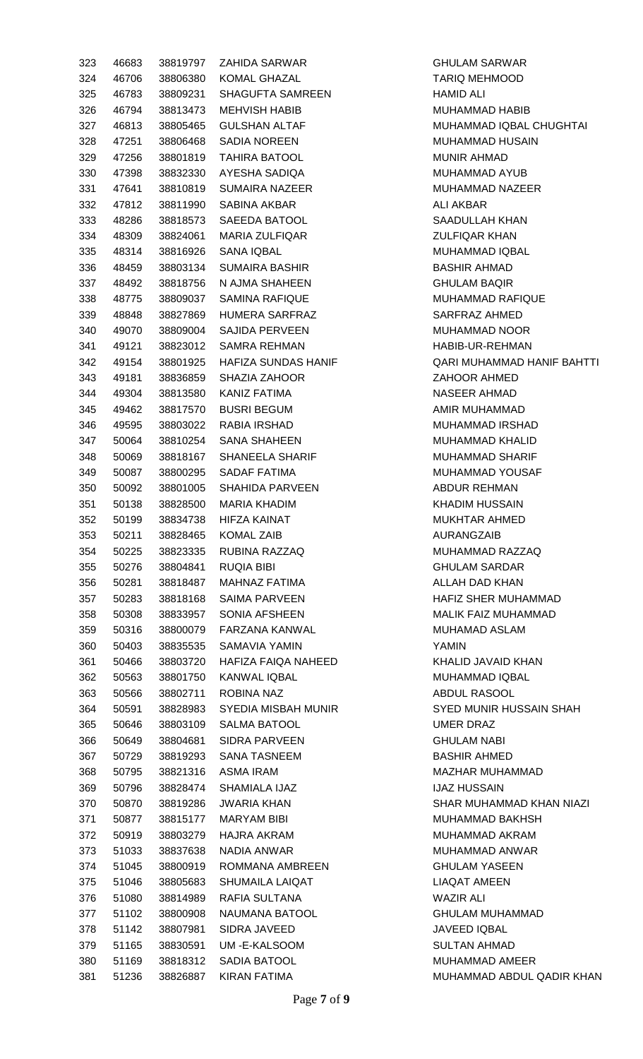| 323 | 46683 | 38819797 | <b>ZAHIDA SARWAR</b>        | <b>GHULA</b>  |
|-----|-------|----------|-----------------------------|---------------|
| 324 | 46706 | 38806380 | <b>KOMAL GHAZAL</b>         | <b>TARIQ</b>  |
| 325 | 46783 | 38809231 | SHAGUFTA SAMREEN            | <b>HAMID</b>  |
| 326 | 46794 | 38813473 | <b>MEHVISH HABIB</b>        | <b>MUHAI</b>  |
| 327 | 46813 | 38805465 | <b>GULSHAN ALTAF</b>        | <b>MUHAI</b>  |
| 328 | 47251 | 38806468 | <b>SADIA NOREEN</b>         | <b>MUHAI</b>  |
| 329 | 47256 | 38801819 | <b>TAHIRA BATOOL</b>        | <b>MUNIR</b>  |
| 330 | 47398 | 38832330 | AYESHA SADIQA               | <b>MUHAI</b>  |
| 331 | 47641 | 38810819 | <b>SUMAIRA NAZEER</b>       | <b>MUHAI</b>  |
| 332 | 47812 | 38811990 | <b>SABINA AKBAR</b>         | <b>ALI AK</b> |
| 333 | 48286 | 38818573 | SAEEDA BATOOL               | SAADL         |
| 334 | 48309 | 38824061 | <b>MARIA ZULFIQAR</b>       | <b>ZULFIC</b> |
| 335 | 48314 | 38816926 | SANA IQBAL                  | <b>MUHAI</b>  |
| 336 | 48459 | 38803134 | <b>SUMAIRA BASHIR</b>       | <b>BASHII</b> |
| 337 | 48492 | 38818756 | N AJMA SHAHEEN              | <b>GHULA</b>  |
| 338 | 48775 | 38809037 | <b>SAMINA RAFIQUE</b>       | <b>MUHAI</b>  |
| 339 | 48848 | 38827869 | HUMERA SARFRAZ              | <b>SARFF</b>  |
| 340 | 49070 | 38809004 | <b>SAJIDA PERVEEN</b>       | <b>MUHAI</b>  |
| 341 | 49121 | 38823012 | <b>SAMRA REHMAN</b>         | HABIB-        |
| 342 | 49154 | 38801925 | HAFIZA SUNDAS HANIF         | QARI N        |
| 343 | 49181 | 38836859 | <b>SHAZIA ZAHOOR</b>        | <b>ZAHOO</b>  |
| 344 | 49304 | 38813580 | <b>KANIZ FATIMA</b>         | <b>NASEE</b>  |
| 345 | 49462 | 38817570 | <b>BUSRI BEGUM</b>          | AMIR N        |
| 346 | 49595 | 38803022 | RABIA IRSHAD                | <b>MUHAI</b>  |
| 347 | 50064 | 38810254 | <b>SANA SHAHEEN</b>         | <b>MUHAI</b>  |
| 348 | 50069 | 38818167 | SHANEELA SHARIF             | <b>MUHAI</b>  |
| 349 | 50087 | 38800295 | <b>SADAF FATIMA</b>         | <b>MUHAI</b>  |
| 350 | 50092 | 38801005 | <b>SHAHIDA PARVEEN</b>      | <b>ABDUF</b>  |
| 351 | 50138 | 38828500 | <b>MARIA KHADIM</b>         | KHADI         |
| 352 | 50199 | 38834738 | <b>HIFZA KAINAT</b>         | <b>MUKH</b>   |
| 353 | 50211 | 38828465 | <b>KOMAL ZAIB</b>           | <b>AURAM</b>  |
| 354 | 50225 | 38823335 | RUBINA RAZZAQ               | <b>MUHAI</b>  |
| 355 | 50276 | 38804841 | <b>RUQIA BIBI</b>           | <b>GHULA</b>  |
| 356 | 50281 | 38818487 | <b>MAHNAZ FATIMA</b>        | <b>ALLAH</b>  |
| 357 | 50283 | 38818168 | <b>SAIMA PARVEEN</b>        | <b>HAFIZ</b>  |
| 358 | 50308 | 38833957 | <b>SONIA AFSHEEN</b>        | <b>MALIK</b>  |
| 359 | 50316 | 38800079 | FARZANA KANWAL              | <b>MUHAI</b>  |
|     |       |          |                             |               |
| 360 | 50403 | 38835535 | SAMAVIA YAMIN               | <b>YAMIN</b>  |
| 361 | 50466 | 38803720 | HAFIZA FAIQA NAHEED         | KHALII        |
| 362 | 50563 | 38801750 | <b>KANWAL IQBAL</b>         | <b>MUHAI</b>  |
| 363 | 50566 | 38802711 | <b>ROBINA NAZ</b>           | <b>ABDUL</b>  |
| 364 | 50591 | 38828983 | <b>SYEDIA MISBAH MUNIR</b>  | SYED I        |
| 365 | 50646 | 38803109 | <b>SALMA BATOOL</b>         | <b>UMER</b>   |
| 366 | 50649 | 38804681 | <b>SIDRA PARVEEN</b>        | <b>GHULA</b>  |
| 367 | 50729 | 38819293 | <b>SANA TASNEEM</b>         | <b>BASHII</b> |
| 368 | 50795 | 38821316 | <b>ASMA IRAM</b>            | MAZH/         |
| 369 | 50796 | 38828474 | SHAMIALA IJAZ               | IJAZ H        |
| 370 | 50870 | 38819286 | <b>JWARIA KHAN</b>          | <b>SHAR</b>   |
| 371 | 50877 | 38815177 | MARYAM BIBI                 | <b>MUHAI</b>  |
| 372 | 50919 | 38803279 | <b>HAJRA AKRAM</b>          | <b>MUHAI</b>  |
| 373 | 51033 | 38837638 | NADIA ANWAR                 | <b>MUHAI</b>  |
| 374 | 51045 | 38800919 | ROMMANA AMBREEN             | <b>GHULA</b>  |
| 375 | 51046 | 38805683 | SHUMAILA LAIQAT             | LIAQA         |
| 376 | 51080 | 38814989 | RAFIA SULTANA               | WAZIR         |
| 377 | 51102 | 38800908 | NAUMANA BATOOL              | <b>GHULA</b>  |
| 378 | 51142 | 38807981 | <b>SIDRA JAVEED</b>         | <b>JAVEE</b>  |
| 379 | 51165 | 38830591 | UM-E-KALSOOM                | <b>SULTA</b>  |
| 380 | 51169 | 38818312 | SADIA BATOOL                | <b>MUHAI</b>  |
| 381 |       |          | 51236 38826887 KIRAN FATIMA | <b>MUHAI</b>  |

**GHULAM SARWAR** TARIQ MEHMOOD HAMID ALI MUHAMMAD HABIB MUHAMMAD IQBAL CHUGHTAI MUHAMMAD HUSAIN MUNIR AHMAD MUHAMMAD AYUB MUHAMMAD NAZEER ALI AKBAR SAADULLAH KHAN **ZULFIQAR KHAN** MUHAMMAD IQBAL BASHIR AHMAD **GHULAM BAQIR** MUHAMMAD RAFIQUE SARFRAZ AHMED MUHAMMAD NOOR HABIB-UR-REHMAN QARI MUHAMMAD HANIF BAHTTI ZAHOOR AHMED NASEER AHMAD AMIR MUHAMMAD MUHAMMAD IRSHAD MUHAMMAD KHALID MUHAMMAD SHARIF MUHAMMAD YOUSAF ABDUR REHMAN KHADIM HUSSAIN MUKHTAR AHMED AURANGZAIB MUHAMMAD RAZZAQ **GHULAM SARDAR** ALLAH DAD KHAN HAFIZ SHER MUHAMMAD MALIK FAIZ MUHAMMAD MUHAMAD ASLAM KHALID JAVAID KHAN MUHAMMAD IQBAL ABDUL RASOOL **SYED MUNIR HUSSAIN SHAH** UMER DRAZ **GHULAM NABI BASHIR AHMED** MAZHAR MUHAMMAD **IJAZ HUSSAIN** SHAR MUHAMMAD KHAN NIAZI MUHAMMAD BAKHSH MUHAMMAD AKRAM MUHAMMAD ANWAR **GHULAM YASEEN** LIAQAT AMEEN **WAZIR ALI GHULAM MUHAMMAD** JAVEED IQBAL SULTAN AHMAD MUHAMMAD AMEER MUHAMMAD ABDUL QADIR KHAN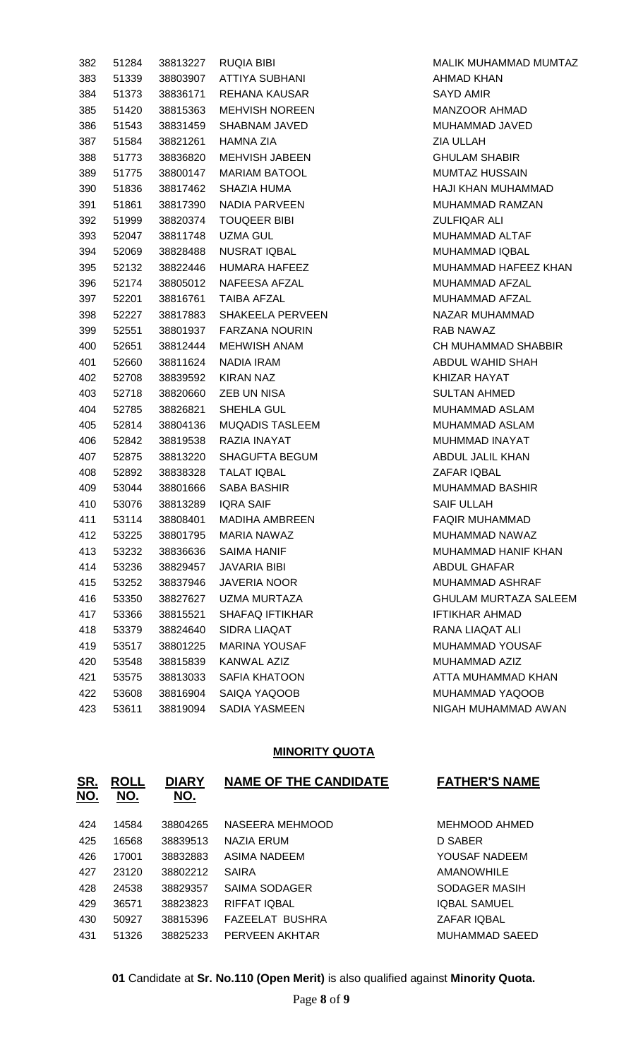| 382 | 51284 | 38813227 | RUQIA BIBI             |
|-----|-------|----------|------------------------|
| 383 | 51339 | 38803907 | <b>ATTIYA SUBHANI</b>  |
| 384 | 51373 | 38836171 | REHANA KAUSAR          |
| 385 | 51420 | 38815363 | <b>MEHVISH NOREEN</b>  |
| 386 | 51543 | 38831459 | SHABNAM JAVED          |
| 387 | 51584 | 38821261 | <b>HAMNA ZIA</b>       |
| 388 | 51773 | 38836820 | <b>MEHVISH JABEEN</b>  |
| 389 | 51775 | 38800147 | <b>MARIAM BATOOL</b>   |
| 390 | 51836 | 38817462 | SHAZIA HUMA            |
| 391 | 51861 | 38817390 | NADIA PARVEEN          |
| 392 | 51999 | 38820374 | <b>TOUQEER BIBI</b>    |
| 393 | 52047 | 38811748 | UZMA GUL               |
| 394 | 52069 | 38828488 | NUSRAT IQBAL           |
| 395 | 52132 | 38822446 | HUMARA HAFEEZ          |
| 396 | 52174 | 38805012 | NAFEESA AFZAL          |
| 397 | 52201 | 38816761 | TAIBA AFZAL            |
| 398 | 52227 | 38817883 | SHAKEELA PERVEEN       |
| 399 | 52551 | 38801937 | <b>FARZANA NOURIN</b>  |
| 400 | 52651 | 38812444 | MEHWISH ANAM           |
| 401 | 52660 | 38811624 | NADIA IRAM             |
| 402 | 52708 | 38839592 | KIRAN NAZ              |
| 403 | 52718 | 38820660 | ZEB UN NISA            |
| 404 | 52785 | 38826821 | SHEHLA GUL             |
| 405 | 52814 | 38804136 | <b>MUQADIS TASLEEM</b> |
| 406 | 52842 | 38819538 | RAZIA INAYAT           |
| 407 | 52875 | 38813220 | SHAGUFTA BEGUM         |
| 408 | 52892 | 38838328 | <b>TALAT IQBAL</b>     |
| 409 | 53044 | 38801666 | SABA BASHIR            |
| 410 | 53076 | 38813289 | <b>IQRA SAIF</b>       |
| 411 | 53114 | 38808401 | MADIHA AMBREEN         |
| 412 | 53225 | 38801795 | <b>MARIA NAWAZ</b>     |
| 413 | 53232 | 38836636 | SAIMA HANIF            |
| 414 | 53236 |          | 38829457 JAVARIA BIBI  |
| 415 | 53252 | 38837946 | <b>JAVERIA NOOR</b>    |
| 416 | 53350 | 38827627 | UZMA MURTAZA           |
| 417 | 53366 | 38815521 | <b>SHAFAQ IFTIKHAR</b> |
| 418 | 53379 | 38824640 | SIDRA LIAQAT           |
| 419 | 53517 | 38801225 | <b>MARINA YOUSAF</b>   |
| 420 | 53548 | 38815839 | <b>KANWAL AZIZ</b>     |
| 421 | 53575 | 38813033 | SAFIA KHATOON          |
| 422 | 53608 |          | 38816904 SAIQA YAQOOB  |
| 423 | 53611 |          | 38819094 SADIA YASMEEN |

MALIK MUHAMMAD MUMTAZ AHMAD KHAN SAYD AMIR MANZOOR AHMAD MUHAMMAD JAVED **ZIA ULLAH GHULAM SHABIR** MUMTAZ HUSSAIN HAJI KHAN MUHAMMAD MUHAMMAD RAMZAN **ZULFIQAR ALI** MUHAMMAD ALTAF MUHAMMAD IQBAL MUHAMMAD HAFEEZ KHAN MUHAMMAD AFZAL MUHAMMAD AFZAL NAZAR MUHAMMAD RAB NAWAZ CH MUHAMMAD SHABBIR ABDUL WAHID SHAH KHIZAR HAYAT SULTAN AHMED MUHAMMAD ASLAM MUHAMMAD ASLAM MUHMMAD INAYAT ABDUL JALIL KHAN ZAFAR IQBAL MUHAMMAD BASHIR SAIF ULLAH FAQIR MUHAMMAD MUHAMMAD NAWAZ MUHAMMAD HANIF KHAN ABDUL GHAFAR MUHAMMAD ASHRAF GHULAM MURTAZA SALEEM IFTIKHAR AHMAD RANA LIAQAT ALI MUHAMMAD YOUSAF MUHAMMAD AZIZ ATTA MUHAMMAD KHAN MUHAMMAD YAQOOB NIGAH MUHAMMAD AWAN

#### **MINORITY QUOTA**

| <u>SR.</u><br><u>NO.</u> | <b>ROLL</b><br>NO. | <b>DIARY</b><br>NO. | <b>NAME OF THE CANDIDATE</b> | <b>FATHER'S NAME</b>  |
|--------------------------|--------------------|---------------------|------------------------------|-----------------------|
| 424                      | 14584              | 38804265            | NASEERA MEHMOOD              | <b>MEHMOOD AHMED</b>  |
| 425                      | 16568              | 38839513            | <b>NAZIA ERUM</b>            | D SABER               |
| 426                      | 17001              | 38832883            | ASIMA NADEEM                 | YOUSAF NADEEM         |
| 427                      | 23120              | 38802212            | <b>SAIRA</b>                 | <b>AMANOWHILE</b>     |
| 428                      | 24538              | 38829357            | SAIMA SODAGER                | SODAGER MASIH         |
| 429                      | 36571              | 38823823            | RIFFAT IQBAL                 | <b>IQBAL SAMUEL</b>   |
| 430                      | 50927              | 38815396            | <b>FAZEELAT BUSHRA</b>       | <b>ZAFAR IOBAL</b>    |
| 431                      | 51326              | 38825233            | PERVEEN AKHTAR               | <b>MUHAMMAD SAEED</b> |
|                          |                    |                     |                              |                       |